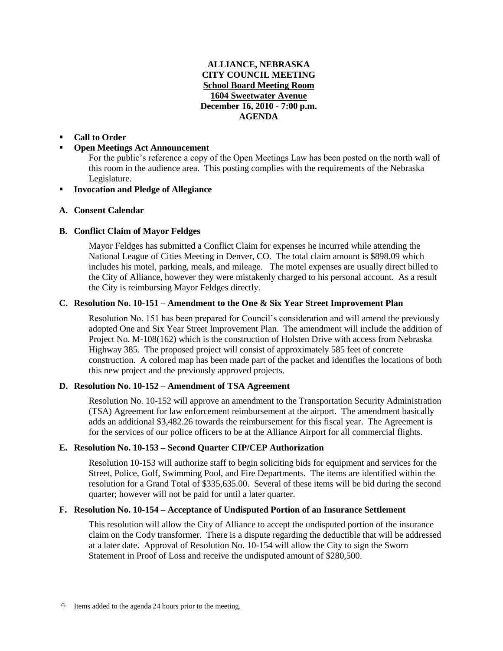# **ALLIANCE, NEBRASKA CITY COUNCIL MEETING School Board Meeting Room 1604 Sweetwater Avenue December 16, 2010 - 7:00 p.m. AGENDA**

## **Call to Order**

## **Open Meetings Act Announcement**

For the public's reference a copy of the Open Meetings Law has been posted on the north wall of this room in the audience area. This posting complies with the requirements of the Nebraska Legislature.

# **Invocation and Pledge of Allegiance**

### **A. Consent Calendar**

## **B. Conflict Claim of Mayor Feldges**

Mayor Feldges has submitted a Conflict Claim for expenses he incurred while attending the National League of Cities Meeting in Denver, CO. The total claim amount is \$898.09 which includes his motel, parking, meals, and mileage. The motel expenses are usually direct billed to the City of Alliance, however they were mistakenly charged to his personal account. As a result the City is reimbursing Mayor Feldges directly.

## **C. Resolution No. 10-151 – Amendment to the One & Six Year Street Improvement Plan**

Resolution No. 151 has been prepared for Council's consideration and will amend the previously adopted One and Six Year Street Improvement Plan. The amendment will include the addition of Project No. M-108(162) which is the construction of Holsten Drive with access from Nebraska Highway 385. The proposed project will consist of approximately 585 feet of concrete construction. A colored map has been made part of the packet and identifies the locations of both this new project and the previously approved projects.

## **D. Resolution No. 10-152 – Amendment of TSA Agreement**

Resolution No. 10-152 will approve an amendment to the Transportation Security Administration (TSA) Agreement for law enforcement reimbursement at the airport. The amendment basically adds an additional \$3,482.26 towards the reimbursement for this fiscal year. The Agreement is for the services of our police officers to be at the Alliance Airport for all commercial flights.

#### **E. Resolution No. 10-153 – Second Quarter CIP/CEP Authorization**

Resolution 10-153 will authorize staff to begin soliciting bids for equipment and services for the Street, Police, Golf, Swimming Pool, and Fire Departments. The items are identified within the resolution for a Grand Total of \$335,635.00. Several of these items will be bid during the second quarter; however will not be paid for until a later quarter.

#### **F. Resolution No. 10-154 – Acceptance of Undisputed Portion of an Insurance Settlement**

This resolution will allow the City of Alliance to accept the undisputed portion of the insurance claim on the Cody transformer. There is a dispute regarding the deductible that will be addressed at a later date. Approval of Resolution No. 10-154 will allow the City to sign the Sworn Statement in Proof of Loss and receive the undisputed amount of \$280,500.